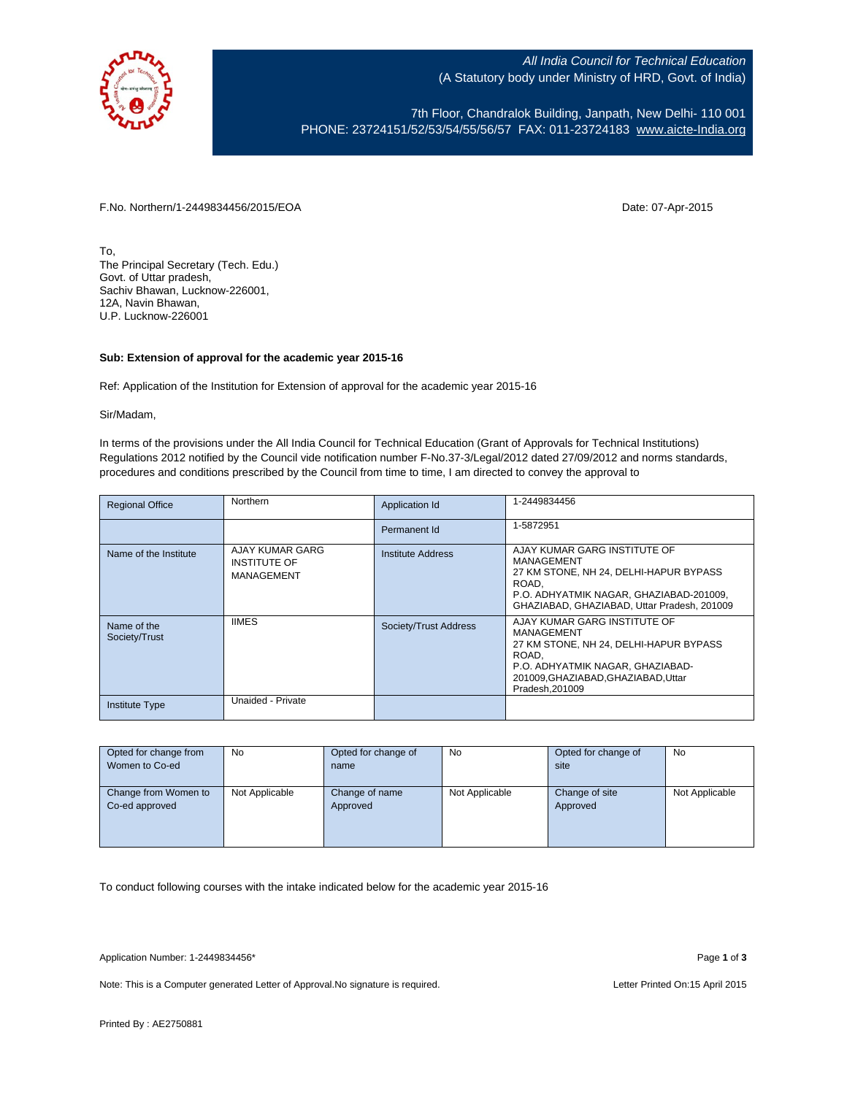

All India Council for Technical Education (A Statutory body under Ministry of HRD, Govt. of India)

7th Floor, Chandralok Building, Janpath, New Delhi- 110 001 PHONE: 23724151/52/53/54/55/56/57 FAX: 011-23724183 [www.aicte-India.org](http://www.aicte-india.org/)

F.No. Northern/1-2449834456/2015/EOA Date: 07-Apr-2015

To, The Principal Secretary (Tech. Edu.) Govt. of Uttar pradesh, Sachiv Bhawan, Lucknow-226001, 12A, Navin Bhawan, U.P. Lucknow-226001

## **Sub: Extension of approval for the academic year 2015-16**

Ref: Application of the Institution for Extension of approval for the academic year 2015-16

Sir/Madam,

In terms of the provisions under the All India Council for Technical Education (Grant of Approvals for Technical Institutions) Regulations 2012 notified by the Council vide notification number F-No.37-3/Legal/2012 dated 27/09/2012 and norms standards, procedures and conditions prescribed by the Council from time to time, I am directed to convey the approval to

| <b>Regional Office</b>       | Northern                                             | Application Id           | 1-2449834456                                                                                                                                                                               |
|------------------------------|------------------------------------------------------|--------------------------|--------------------------------------------------------------------------------------------------------------------------------------------------------------------------------------------|
|                              |                                                      | Permanent Id             | 1-5872951                                                                                                                                                                                  |
| Name of the Institute        | AJAY KUMAR GARG<br><b>INSTITUTE OF</b><br>MANAGEMENT | <b>Institute Address</b> | AJAY KUMAR GARG INSTITUTE OF<br>MANAGEMENT<br>27 KM STONE, NH 24, DELHI-HAPUR BYPASS<br>ROAD.<br>P.O. ADHYATMIK NAGAR, GHAZIABAD-201009.<br>GHAZIABAD, GHAZIABAD, Uttar Pradesh, 201009    |
| Name of the<br>Society/Trust | <b>IIMES</b>                                         | Society/Trust Address    | AJAY KUMAR GARG INSTITUTE OF<br>MANAGEMENT<br>27 KM STONE, NH 24, DELHI-HAPUR BYPASS<br>ROAD.<br>P.O. ADHYATMIK NAGAR, GHAZIABAD-<br>201009, GHAZIABAD, GHAZIABAD, Uttar<br>Pradesh.201009 |
| <b>Institute Type</b>        | Unaided - Private                                    |                          |                                                                                                                                                                                            |

| Opted for change from | No             | Opted for change of | No             | Opted for change of | No             |
|-----------------------|----------------|---------------------|----------------|---------------------|----------------|
| Women to Co-ed        |                | name                |                | site                |                |
|                       |                |                     |                |                     |                |
| Change from Women to  | Not Applicable | Change of name      | Not Applicable | Change of site      | Not Applicable |
| Co-ed approved        |                | Approved            |                | Approved            |                |
|                       |                |                     |                |                     |                |
|                       |                |                     |                |                     |                |
|                       |                |                     |                |                     |                |

To conduct following courses with the intake indicated below for the academic year 2015-16

Application Number: 1-2449834456\* Page **1** of **3**

Note: This is a Computer generated Letter of Approval. No signature is required. Letter Printed On:15 April 2015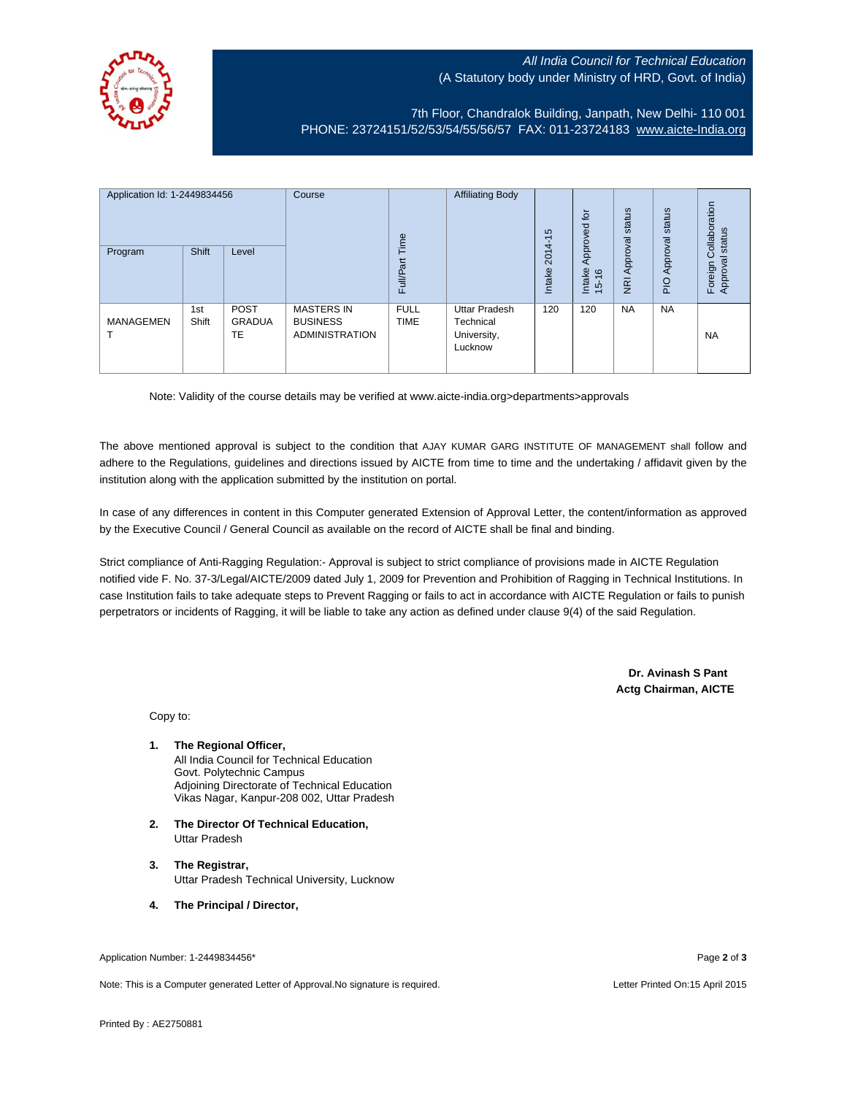## All India Council for Technical Education (A Statutory body under Ministry of HRD, Govt. of India)



7th Floor, Chandralok Building, Janpath, New Delhi- 110 001 PHONE: 23724151/52/53/54/55/56/57 FAX: 011-23724183 [www.aicte-India.org](http://www.aicte-india.org/)

| Application Id: 1-2449834456<br>Program | Shift        | Level                       | Course                                                        | Time<br><b>Full/Part</b>   | <b>Affiliating Body</b>                                     | S<br>ᡪ<br>$2014 -$<br>Intake | 흐<br>Approved<br>Intake<br>$\frac{6}{2}$<br>$\frac{1}{2}$ | status<br>Approval<br>$\overline{g}$ | status<br>Approval<br>$\frac{1}{2}$ | ollaboration<br>status<br>Ö<br>Approval<br>Foreign |
|-----------------------------------------|--------------|-----------------------------|---------------------------------------------------------------|----------------------------|-------------------------------------------------------------|------------------------------|-----------------------------------------------------------|--------------------------------------|-------------------------------------|----------------------------------------------------|
| <b>MANAGEMEN</b>                        | 1st<br>Shift | <b>POST</b><br>GRADUA<br>TE | <b>MASTERS IN</b><br><b>BUSINESS</b><br><b>ADMINISTRATION</b> | <b>FULL</b><br><b>TIME</b> | <b>Uttar Pradesh</b><br>Technical<br>University,<br>Lucknow | 120                          | 120                                                       | <b>NA</b>                            | <b>NA</b>                           | <b>NA</b>                                          |

Note: Validity of the course details may be verified at www.aicte-india.org>departments>approvals

The above mentioned approval is subject to the condition that AJAY KUMAR GARG INSTITUTE OF MANAGEMENT shall follow and adhere to the Regulations, guidelines and directions issued by AICTE from time to time and the undertaking / affidavit given by the institution along with the application submitted by the institution on portal.

In case of any differences in content in this Computer generated Extension of Approval Letter, the content/information as approved by the Executive Council / General Council as available on the record of AICTE shall be final and binding.

Strict compliance of Anti-Ragging Regulation:- Approval is subject to strict compliance of provisions made in AICTE Regulation notified vide F. No. 37-3/Legal/AICTE/2009 dated July 1, 2009 for Prevention and Prohibition of Ragging in Technical Institutions. In case Institution fails to take adequate steps to Prevent Ragging or fails to act in accordance with AICTE Regulation or fails to punish perpetrators or incidents of Ragging, it will be liable to take any action as defined under clause 9(4) of the said Regulation.

> **Dr. Avinash S Pant Actg Chairman, AICTE**

Copy to:

**1. The Regional Officer,** All India Council for Technical Education Govt. Polytechnic Campus Adjoining Directorate of Technical Education

Vikas Nagar, Kanpur-208 002, Uttar Pradesh

- **2. The Director Of Technical Education,** Uttar Pradesh
- **3. The Registrar,** Uttar Pradesh Technical University, Lucknow
- **4. The Principal / Director,**

Application Number: 1-2449834456\* Page **2** of **3**

Note: This is a Computer generated Letter of Approval.No signature is required. Letter According the state of the Letter Printed On:15 April 2015